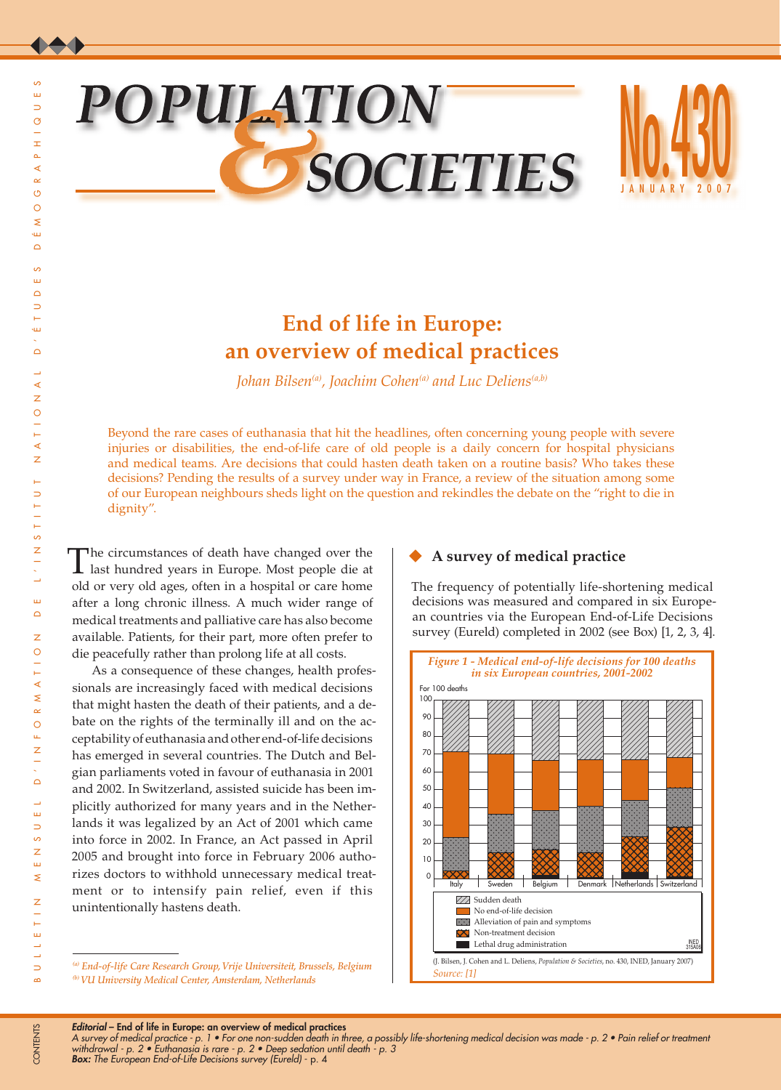# B U L L E T I N M E N S U E L D ' I N F O R M A T I O N D E L ' I N S T I T U T N A T I O N A L D ' É T U D E S D É M O G R A P H I Q U E S  $\circ$  $\circ$  $\leq$  $\overline{311}$  $\Omega$ ം  $\mathbf{u}$  $\Delta$  $\overline{\phantom{0}}$  $\overline{a}$ śш  $\Omega$ Δ  $\prec$  $\bar{z}$  $\circ$  $\overline{a}$ ∢  $\overline{z}$  $\mathbf{r}$  $\Rightarrow$  $\frac{1}{1}$  $\leftarrow$  $\overline{c}$  $\overline{z}$  $\frac{1}{\sqrt{2}}$ L.  $\mathbf{m}$  $\Omega$  $\overline{z}$  $\circ$  $\overline{\phantom{a}}$  $\overline{a}$  $\triangleleft$  $\leq$  $\alpha$  $\circ$  $\bar{\mu}$  $\overline{z}$  $\overline{\phantom{a}}$  $\triangle$ ш,  $\Rightarrow$ ဖ  $\bar{z}$  $\bar{\Xi}$  $\overline{\mathbf{z}}$ Z  $\overline{\phantom{a}}$  $\vdash$  $\bar{\Xi}$  $\rightarrow$  $\overline{\phantom{a}}$  $\Rightarrow$

 $\omega$  $\Rightarrow$  $\circ$  $\pm$  $\Delta$ 

∢  $\sim$ 

# **POPULATION SOCIETIES**



# **End of life in Europe: an overview of medical practices**

*Johan Bilsen<sup>(a)</sup>*, *Joachim Cohen<sup>(a)</sup> and Luc Deliens<sup>(a,b)</sup>* 

Beyond the rare cases of euthanasia that hit the headlines, often concerning young people with severe injuries or disabilities, the end-of-life care of old people is a daily concern for hospital physicians and medical teams. Are decisions that could hasten death taken on a routine basis? Who takes these decisions? Pending the results of a survey under way in France, a review of the situation among some of our European neighbours sheds light on the question and rekindles the debate on the "right to die in dignity".

The circumstances of death have changed over the last hundred years in Europe. Most people die at old or very old ages, often in a hospital or care home after a long chronic illness. A much wider range of medical treatments and palliative care has also become available. Patients, for their part, more often prefer to die peacefully rather than prolong life at all costs.

As a consequence of these changes, health professionals are increasingly faced with medical decisions that might hasten the death of their patients, and a debate on the rights of the terminally ill and on the acceptability of euthanasia and other end-of-life decisions has emerged in several countries. The Dutch and Belgian parliaments voted in favour of euthanasia in 2001 and 2002. In Switzerland, assisted suicide has been implicitly authorized for many years and in the Netherlands it was legalized by an Act of 2001 which came into force in 2002. In France, an Act passed in April 2005 and brought into force in February 2006 authorizes doctors to withhold unnecessary medical treatment or to intensify pain relief, even if this unintentionally hastens death.

# **A survey of medical practice**

The frequency of potentially life-shortening medical decisions was measured and compared in six European countries via the European End-of-Life Decisions survey (Eureld) completed in 2002 (see Box) [1, 2, 3, 4].



*Editorial* – End of life in Europe: an overview of medical practices

*A survey of medical practice - p. 1 • For one non-sudden death in three, a possibly life-shortening medical decision was made - p. 2 • Pain relief or treatment withdrawal - p. 2 • Euthanasia is rare - p. 2 • Deep sedation until death - p. 3 Box: The European End-of-Life Decisions survey (Eureld)* - p. 4

 $\sim$ 

*<sup>(</sup>a) End-of-life Care Research Group, Vrije Universiteit, Brussels, Belgium (b) VU University Medical Center, Amsterdam, Netherlands*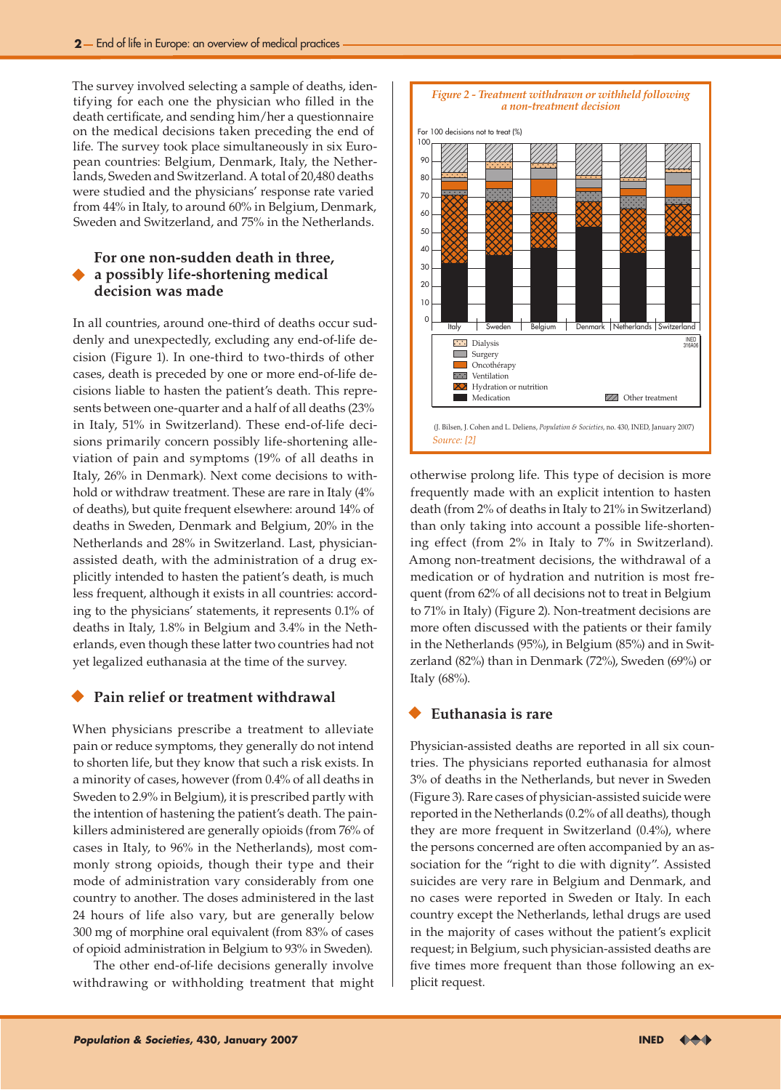The survey involved selecting a sample of deaths, identifying for each one the physician who filled in the death certificate, and sending him/her a questionnaire on the medical decisions taken preceding the end of life. The survey took place simultaneously in six European countries: Belgium, Denmark, Italy, the Netherlands, Sweden and Switzerland. A total of 20,480 deaths were studied and the physicians' response rate varied from 44% in Italy, to around 60% in Belgium, Denmark, Sweden and Switzerland, and 75% in the Netherlands.

# **For one non-sudden death in three, a possibly life-shortening medical decision was made**

In all countries, around one-third of deaths occur suddenly and unexpectedly, excluding any end-of-life decision (Figure 1). In one-third to two-thirds of other cases, death is preceded by one or more end-of-life decisions liable to hasten the patient's death. This represents between one-quarter and a half of all deaths (23% in Italy, 51% in Switzerland). These end-of-life decisions primarily concern possibly life-shortening alleviation of pain and symptoms (19% of all deaths in Italy, 26% in Denmark). Next come decisions to withhold or withdraw treatment. These are rare in Italy (4% of deaths), but quite frequent elsewhere: around 14% of deaths in Sweden, Denmark and Belgium, 20% in the Netherlands and 28% in Switzerland. Last, physicianassisted death, with the administration of a drug explicitly intended to hasten the patient's death, is much less frequent, although it exists in all countries: according to the physicians' statements, it represents 0.1% of deaths in Italy, 1.8% in Belgium and 3.4% in the Netherlands, even though these latter two countries had not yet legalized euthanasia at the time of the survey.

#### **Pain relief or treatment withdrawal**

When physicians prescribe a treatment to alleviate pain or reduce symptoms, they generally do not intend to shorten life, but they know that such a risk exists. In a minority of cases, however (from 0.4% of all deaths in Sweden to 2.9% in Belgium), it is prescribed partly with the intention of hastening the patient's death. The painkillers administered are generally opioids (from 76% of cases in Italy, to 96% in the Netherlands), most commonly strong opioids, though their type and their mode of administration vary considerably from one country to another. The doses administered in the last 24 hours of life also vary, but are generally below 300 mg of morphine oral equivalent (from 83% of cases of opioid administration in Belgium to 93% in Sweden).

The other end-of-life decisions generally involve withdrawing or withholding treatment that might



otherwise prolong life. This type of decision is more frequently made with an explicit intention to hasten death (from 2% of deaths in Italy to 21% in Switzerland) than only taking into account a possible life-shortening effect (from 2% in Italy to 7% in Switzerland). Among non-treatment decisions, the withdrawal of a medication or of hydration and nutrition is most frequent (from 62% of all decisions not to treat in Belgium to 71% in Italy) (Figure 2). Non-treatment decisions are more often discussed with the patients or their family in the Netherlands (95%), in Belgium (85%) and in Switzerland (82%) than in Denmark (72%), Sweden (69%) or Italy (68%).

## **Euthanasia is rare**

Physician-assisted deaths are reported in all six countries. The physicians reported euthanasia for almost 3% of deaths in the Netherlands, but never in Sweden (Figure 3). Rare cases of physician-assisted suicide were reported in the Netherlands (0.2% of all deaths), though they are more frequent in Switzerland (0.4%), where the persons concerned are often accompanied by an association for the "right to die with dignity". Assisted suicides are very rare in Belgium and Denmark, and no cases were reported in Sweden or Italy. In each country except the Netherlands, lethal drugs are used in the majority of cases without the patient's explicit request; in Belgium, such physician-assisted deaths are five times more frequent than those following an explicit request.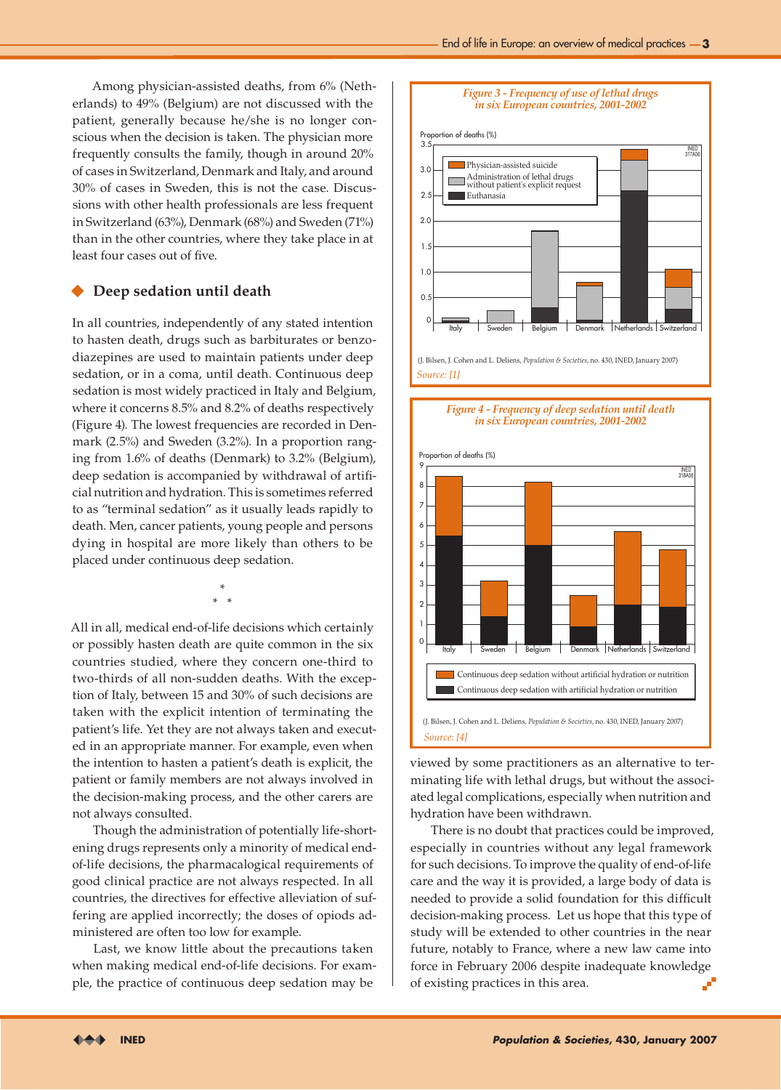Among physician-assisted deaths, from 6% (Netherlands) to 49% (Belgium) are not discussed with the patient, generally because he/she is no longer conscious when the decision is taken. The physician more frequently consults the family, though in around 20% of cases in Switzerland, Denmark and Italy, and around 30% of cases in Sweden, this is not the case. Discussions with other health professionals are less frequent in Switzerland (63%), Denmark (68%) and Sweden (71%) than in the other countries, where they take place in at least four cases out of five.

### **Deep sedation until death**

In all countries, independently of any stated intention to hasten death, drugs such as barbiturates or benzodiazepines are used to maintain patients under deep sedation, or in a coma, until death. Continuous deep sedation is most widely practiced in Italy and Belgium, where it concerns 8.5% and 8.2% of deaths respectively (Figure 4). The lowest frequencies are recorded in Denmark (2.5%) and Sweden (3.2%). In a proportion ranging from 1.6% of deaths (Denmark) to 3.2% (Belgium), deep sedation is accompanied by withdrawal of artificial nutrition and hydration. This is sometimes referred to as "terminal sedation" as it usually leads rapidly to death. Men, cancer patients, young people and persons dying in hospital are more likely than others to be placed under continuous deep sedation.

All in all, medical end-of-life decisions which certainly or possibly hasten death are quite common in the six countries studied, where they concern one-third to two-thirds of all non-sudden deaths. With the exception of Italy, between 15 and 30% of such decisions are taken with the explicit intention of terminating the patient's life. Yet they are not always taken and executed in an appropriate manner. For example, even when the intention to hasten a patient's death is explicit, the patient or family members are not always involved in the decision-making process, and the other carers are not always consulted.

\* \* \*

Though the administration of potentially life-shortening drugs represents only a minority of medical endof-life decisions, the pharmacalogical requirements of good clinical practice are not always respected. In all countries, the directives for effective alleviation of suffering are applied incorrectly; the doses of opiods administered are often too low for example.

Last, we know little about the precautions taken when making medical end-of-life decisions. For example, the practice of continuous deep sedation may be



*Figure 4 - Frequency of deep sedation until death*



viewed by some practitioners as an alternative to terminating life with lethal drugs, but without the associated legal complications, especially when nutrition and hydration have been withdrawn.

There is no doubt that practices could be improved, especially in countries without any legal framework for such decisions. To improve the quality of end-of-life care and the way it is provided, a large body of data is needed to provide a solid foundation for this difficult decision-making process. Let us hope that this type of study will be extended to other countries in the near future, notably to France, where a new law came into force in February 2006 despite inadequate knowledge of existing practices in this area. J.